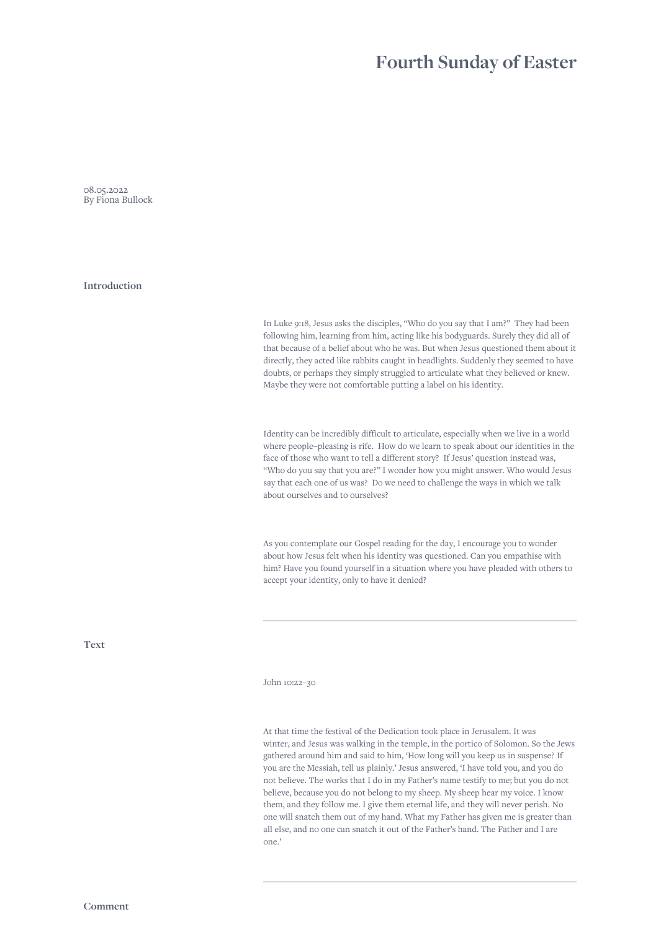## **Fourth Sunday of Easter**

08.05.2022 By Fiona Bullock

**Introduction**

In Luke 9:18, Jesus asks the disciples, "Who do you say that I am?" They had been following him, learning from him, acting like his bodyguards. Surely they did all of that because of a belief about who he was. But when Jesus questioned them about it directly, they acted like rabbits caught in headlights. Suddenly they seemed to have doubts, or perhaps they simply struggled to articulate what they believed or knew. Maybe they were not comfortable putting a label on his identity.

Identity can be incredibly difficult to articulate, especially when we live in a world where people–pleasing is rife. How do we learn to speak about our identities in the face of those who want to tell a different story? If Jesus' question instead was, "Who do you say that you are?" I wonder how you might answer. Who would Jesus say that each one of us was? Do we need to challenge the ways in which we talk about ourselves and to ourselves?

As you contemplate our Gospel reading for the day, I encourage you to wonder about how Jesus felt when his identity was questioned. Can you empathise with him? Have you found yourself in a situation where you have pleaded with others to accept your identity, only to have it denied?

**Text**

John 10:22–30

At that time the festival of the Dedication took place in Jerusalem. It was winter, and Jesus was walking in the temple, in the portico of Solomon. So the Jews gathered around him and said to him, 'How long will you keep us in suspense? If you are the Messiah, tell us plainly.' Jesus answered, 'I have told you, and you do not believe. The works that I do in my Father's name testify to me; but you do not believe, because you do not belong to my sheep. My sheep hear my voice. I know them, and they follow me. I give them eternal life, and they will never perish. No one will snatch them out of my hand. What my Father has given me is greater than all else, and no one can snatch it out of the Father's hand. The Father and I are one.'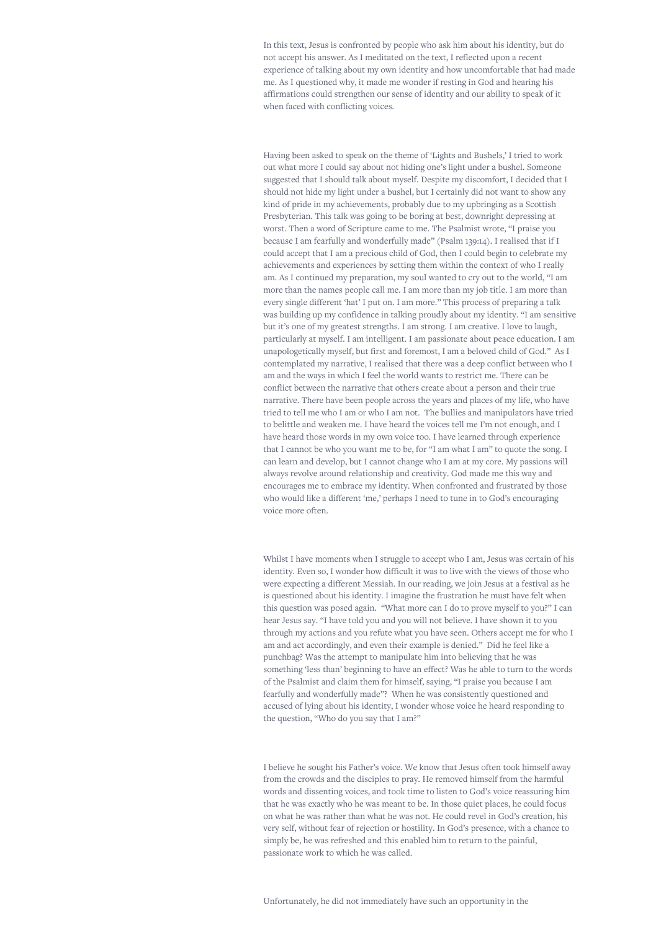In this text, Jesus is confronted by people who ask him about his identity, but do not accept his answer. As I meditated on the text, I reflected upon a recent experience of talking about my own identity and how uncomfortable that had made me. As I questioned why, it made me wonder if resting in God and hearing his affirmations could strengthen our sense of identity and our ability to speak of it when faced with conflicting voices.

Having been asked to speak on the theme of 'Lights and Bushels,' I tried to work out what more I could say about not hiding one's light under a bushel. Someone suggested that I should talk about myself. Despite my discomfort, I decided that I should not hide my light under a bushel, but I certainly did not want to show any kind of pride in my achievements, probably due to my upbringing as a Scottish Presbyterian. This talk was going to be boring at best, downright depressing at worst. Then a word of Scripture came to me. The Psalmist wrote, "I praise you because I am fearfully and wonderfully made" (Psalm 139:14). I realised that if I could accept that I am a precious child of God, then I could begin to celebrate my achievements and experiences by setting them within the context of who I really am. As I continued my preparation, my soul wanted to cry out to the world, "I am more than the names people call me. I am more than my job title. I am more than every single different 'hat' I put on. I am more." This process of preparing a talk was building up my confidence in talking proudly about my identity. "I am sensitive but it's one of my greatest strengths. I am strong. I am creative. I love to laugh, particularly at myself. I am intelligent. I am passionate about peace education. I am unapologetically myself, but first and foremost, I am a beloved child of God." As I contemplated my narrative, I realised that there was a deep conflict between who I am and the ways in which I feel the world wants to restrict me. There can be conflict between the narrative that others create about a person and their true narrative. There have been people across the years and places of my life, who have tried to tell me who I am or who I am not. The bullies and manipulators have tried to belittle and weaken me. I have heard the voices tell me I'm not enough, and I have heard those words in my own voice too. I have learned through experience that I cannot be who you want me to be, for "I am what I am" to quote the song. I can learn and develop, but I cannot change who I am at my core. My passions will always revolve around relationship and creativity. God made me this way and encourages me to embrace my identity. When confronted and frustrated by those who would like a different 'me,' perhaps I need to tune in to God's encouraging voice more often.

Whilst I have moments when I struggle to accept who I am, Jesus was certain of his identity. Even so, I wonder how difficult it was to live with the views of those who were expecting a different Messiah. In our reading, we join Jesus at a festival as he is questioned about his identity. I imagine the frustration he must have felt when this question was posed again. "What more can I do to prove myself to you?" I can hear Jesus say. "I have told you and you will not believe. I have shown it to you through my actions and you refute what you have seen. Others accept me for who I am and act accordingly, and even their example is denied." Did he feel like a punchbag? Was the attempt to manipulate him into believing that he was something 'less than' beginning to have an effect? Was he able to turn to the words of the Psalmist and claim them for himself, saying, "I praise you because I am fearfully and wonderfully made"? When he was consistently questioned and accused of lying about his identity, I wonder whose voice he heard responding to the question, "Who do you say that I am?"

I believe he sought his Father's voice. We know that Jesus often took himself away from the crowds and the disciples to pray. He removed himself from the harmful words and dissenting voices, and took time to listen to God's voice reassuring him that he was exactly who he was meant to be. In those quiet places, he could focus on what he was rather than what he was not. He could revel in God's creation, his very self, without fear of rejection or hostility. In God's presence, with a chance to simply be, he was refreshed and this enabled him to return to the painful, passionate work to which he was called.